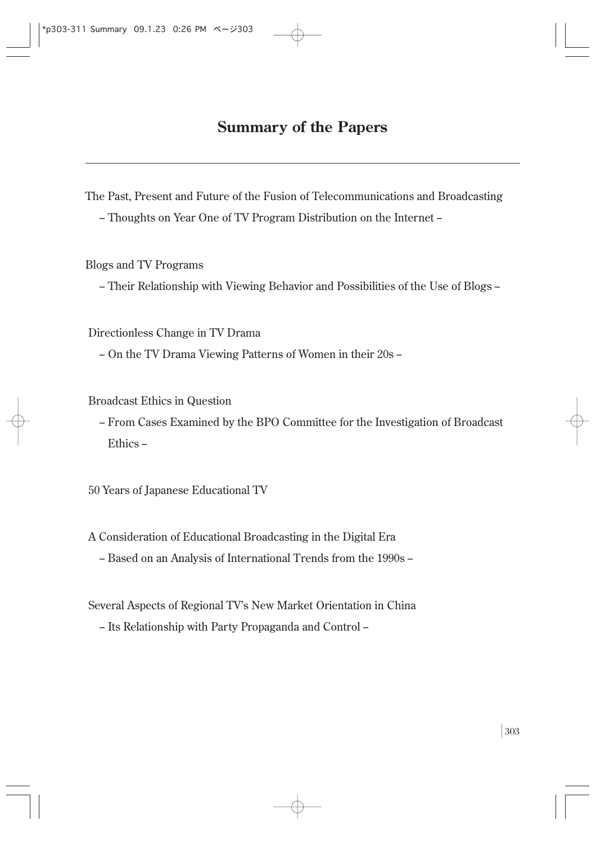# **Summary of the Papers**

The Past, Present and Future of the Fusion of Telecommunications and Broadcasting - Thoughts on Year One of TV Program Distribution on the Internet -

Blogs and TV Programs

- Their Relationship with Viewing Behavior and Possibilities of the Use of Blogs -

Directionless Change in TV Drama

- On the TV Drama Viewing Patterns of Women in their 20s -

Broadcast Ethics in Question

- From Cases Examined by the BPO Committee for the Investigation of Broadcast Ethics -

50 Years of Japanese Educational TV

A Consideration of Educational Broadcasting in the Digital Era

- Based on an Analysis of International Trends from the 1990s -

Several Aspects of Regional TV's New Market Orientation in China

- Its Relationship with Party Propaganda and Control -

**│**303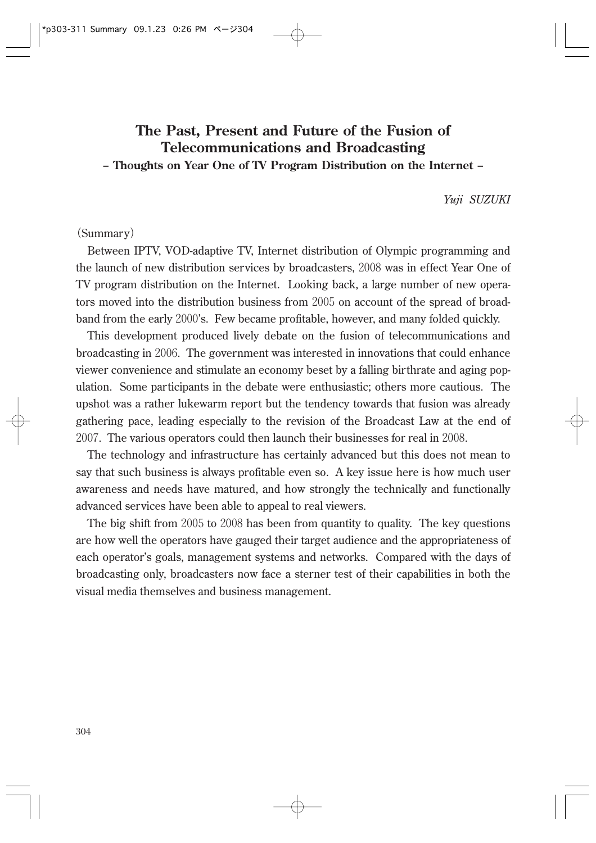# **The Past, Present and Future of the Fusion of Telecommunications and Broadcasting**

## **- Thoughts on Year One of TV Program Distribution on the Internet -**

*Yuji SUZUKI*

### **(**Summary**)**

Between IPTV, VOD-adaptive TV, Internet distribution of Olympic programming and the launch of new distribution services by broadcasters, 2008 was in effect Year One of TV program distribution on the Internet. Looking back, a large number of new operators moved into the distribution business from 2005 on account of the spread of broadband from the early 2000's. Few became profitable, however, and many folded quickly.

This development produced lively debate on the fusion of telecommunications and broadcasting in 2006. The government was interested in innovations that could enhance viewer convenience and stimulate an economy beset by a falling birthrate and aging population. Some participants in the debate were enthusiastic; others more cautious. The upshot was a rather lukewarm report but the tendency towards that fusion was already gathering pace, leading especially to the revision of the Broadcast Law at the end of 2007. The various operators could then launch their businesses for real in 2008.

The technology and infrastructure has certainly advanced but this does not mean to say that such business is always profitable even so. A key issue here is how much user awareness and needs have matured, and how strongly the technically and functionally advanced services have been able to appeal to real viewers.

The big shift from 2005 to 2008 has been from quantity to quality. The key questions are how well the operators have gauged their target audience and the appropriateness of each operator's goals, management systems and networks. Compared with the days of broadcasting only, broadcasters now face a sterner test of their capabilities in both the visual media themselves and business management.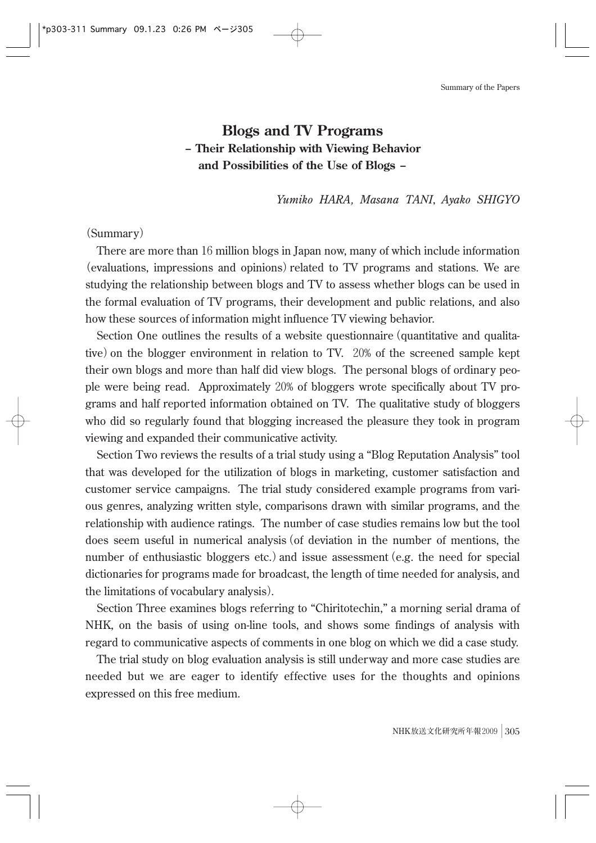Summary of the Papers

# **Blogs and TV Programs - Their Relationship with Viewing Behavior and Possibilities of the Use of Blogs -**

*Yumiko HARA, Masana TANI*, *Ayako SHIGYO*

### **(**Summary**)**

There are more than 16 million blogs in Japan now, many of which include information **(**evaluations, impressions and opinions**)**related to TV programs and stations. We are studying the relationship between blogs and TV to assess whether blogs can be used in the formal evaluation of TV programs, their development and public relations, and also how these sources of information might influence TV viewing behavior.

Section One outlines the results of a website questionnaire**(**quantitative and qualitative**)**on the blogger environment in relation to TV. 20% of the screened sample kept their own blogs and more than half did view blogs. The personal blogs of ordinary people were being read. Approximately 20% of bloggers wrote specifically about TV programs and half reported information obtained on TV. The qualitative study of bloggers who did so regularly found that blogging increased the pleasure they took in program viewing and expanded their communicative activity.

Section Two reviews the results of a trial study using a "Blog Reputation Analysis" tool that was developed for the utilization of blogs in marketing, customer satisfaction and customer service campaigns. The trial study considered example programs from various genres, analyzing written style, comparisons drawn with similar programs, and the relationship with audience ratings. The number of case studies remains low but the tool does seem useful in numerical analysis**(**of deviation in the number of mentions, the number of enthusiastic bloggers etc.**)**and issue assessment**(**e.g. the need for special dictionaries for programs made for broadcast, the length of time needed for analysis, and the limitations of vocabulary analysis**)**.

Section Three examines blogs referring to "Chiritotechin," a morning serial drama of NHK, on the basis of using on-line tools, and shows some findings of analysis with regard to communicative aspects of comments in one blog on which we did a case study.

The trial study on blog evaluation analysis is still underway and more case studies are needed but we are eager to identify effective uses for the thoughts and opinions expressed on this free medium.

**NHK放送文化研究所年報**2009**│**305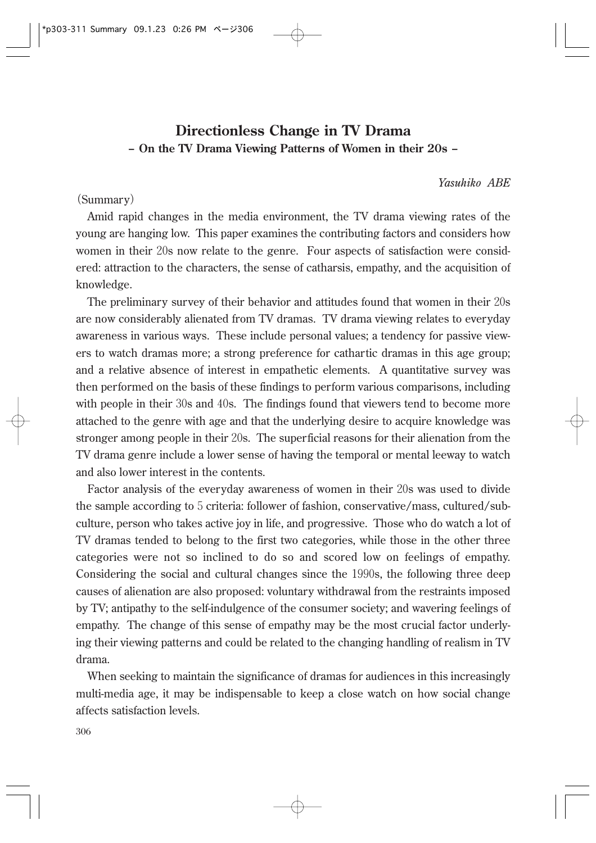## **Directionless Change in TV Drama - On the TV Drama Viewing Patterns of Women in their 20s -**

*Yasuhiko ABE*

### **(**Summary**)**

Amid rapid changes in the media environment, the TV drama viewing rates of the young are hanging low. This paper examines the contributing factors and considers how women in their 20s now relate to the genre. Four aspects of satisfaction were considered: attraction to the characters, the sense of catharsis, empathy, and the acquisition of knowledge.

The preliminary survey of their behavior and attitudes found that women in their 20s are now considerably alienated from TV dramas. TV drama viewing relates to everyday awareness in various ways. These include personal values; a tendency for passive viewers to watch dramas more; a strong preference for cathartic dramas in this age group; and a relative absence of interest in empathetic elements. A quantitative survey was then performed on the basis of these findings to perform various comparisons, including with people in their 30s and 40s. The findings found that viewers tend to become more attached to the genre with age and that the underlying desire to acquire knowledge was stronger among people in their 20s. The superficial reasons for their alienation from the TV drama genre include a lower sense of having the temporal or mental leeway to watch and also lower interest in the contents.

Factor analysis of the everyday awareness of women in their 20s was used to divide the sample according to 5 criteria: follower of fashion, conservative/mass, cultured/subculture, person who takes active joy in life, and progressive. Those who do watch a lot of TV dramas tended to belong to the first two categories, while those in the other three categories were not so inclined to do so and scored low on feelings of empathy. Considering the social and cultural changes since the 1990s, the following three deep causes of alienation are also proposed: voluntary withdrawal from the restraints imposed by TV; antipathy to the self-indulgence of the consumer society; and wavering feelings of empathy. The change of this sense of empathy may be the most crucial factor underlying their viewing patterns and could be related to the changing handling of realism in TV drama.

When seeking to maintain the significance of dramas for audiences in this increasingly multi-media age, it may be indispensable to keep a close watch on how social change affects satisfaction levels.

306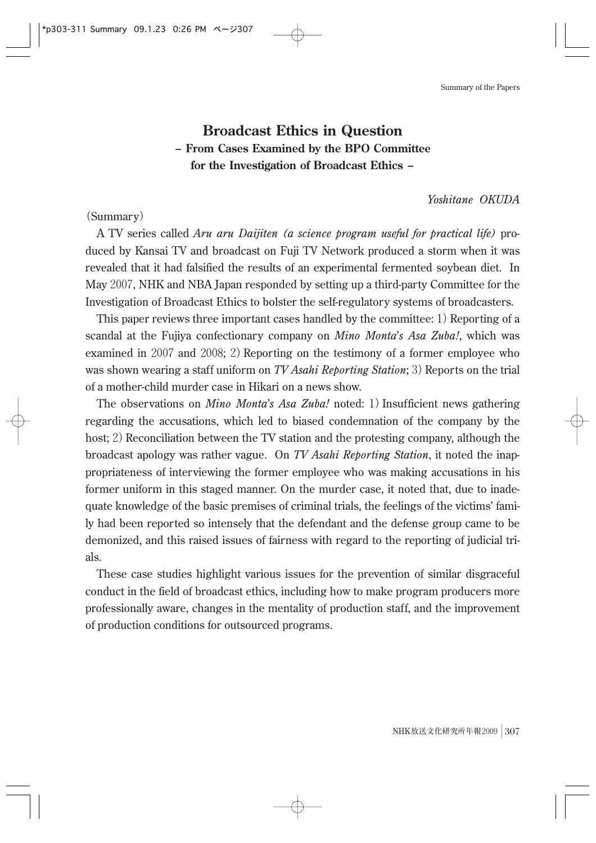Summary of the Papers

#### \*p303-311 Summary 09.1.23 0:26 PM ページ307

## **Broadcast Ethics in Question - From Cases Examined by the BPO Committee for the Investigation of Broadcast Ethics -**

*Yoshitane OKUDA*

### **(**Summary**)**

A TV series called *Aru aru Daijiten (a science program useful for practical life)* produced by Kansai TV and broadcast on Fuji TV Network produced a storm when it was revealed that it had falsified the results of an experimental fermented soybean diet. In May 2007, NHK and NBA Japan responded by setting up a third-party Committee for the Investigation of Broadcast Ethics to bolster the self-regulatory systems of broadcasters.

This paper reviews three important cases handled by the committee: 1) Reporting of a scandal at the Fujiya confectionary company on *Mino Monta*'*s Asa Zuba!*, which was examined in 2007 and 2008; 2**)**Reporting on the testimony of a former employee who was shown wearing a staff uniform on *TV Asahi Reporting Station*; 3) Reports on the trial of a mother-child murder case in Hikari on a news show.

The observations on *Mino Monta*'*s Asa Zuba!* noted: 1**)**Insufficient news gathering regarding the accusations, which led to biased condemnation of the company by the host; 2) Reconciliation between the TV station and the protesting company, although the broadcast apology was rather vague. On *TV Asahi Reporting Station*, it noted the inappropriateness of interviewing the former employee who was making accusations in his former uniform in this staged manner. On the murder case, it noted that, due to inadequate knowledge of the basic premises of criminal trials, the feelings of the victims' family had been reported so intensely that the defendant and the defense group came to be demonized, and this raised issues of fairness with regard to the reporting of judicial trials.

These case studies highlight various issues for the prevention of similar disgraceful conduct in the field of broadcast ethics, including how to make program producers more professionally aware, changes in the mentality of production staff, and the improvement of production conditions for outsourced programs.

**NHK放送文化研究所年報**2009**│**307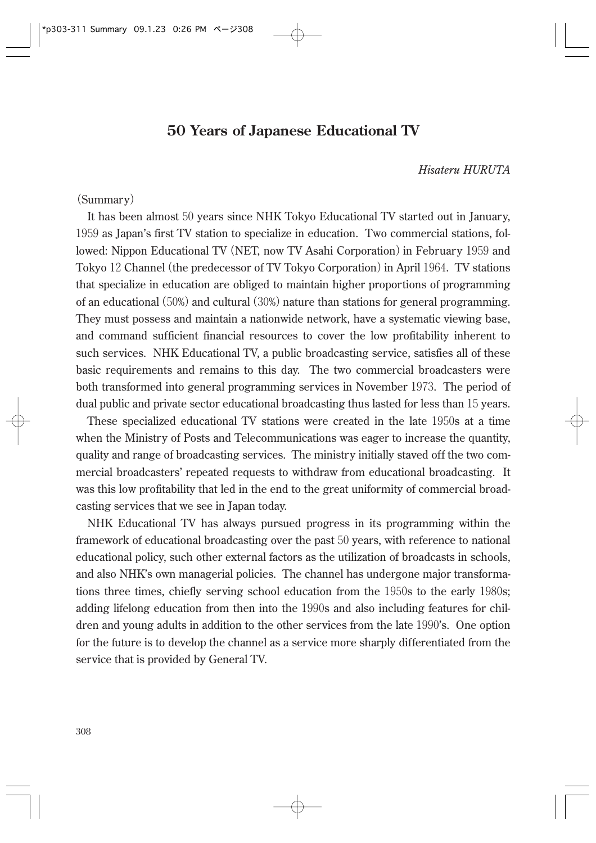## **50 Years of Japanese Educational TV**

### *Hisateru HURUTA*

### **(**Summary**)**

It has been almost 50 years since NHK Tokyo Educational TV started out in January, 1959 as Japan's first TV station to specialize in education. Two commercial stations, followed: Nippon Educational TV**(**NET, now TV Asahi Corporation**)**in February 1959 and Tokyo 12 Channel**(**the predecessor of TV Tokyo Corporation**)**in April 1964. TV stations that specialize in education are obliged to maintain higher proportions of programming of an educational**(**50%**)**and cultural**(**30%**)**nature than stations for general programming. They must possess and maintain a nationwide network, have a systematic viewing base, and command sufficient financial resources to cover the low profitability inherent to such services. NHK Educational TV, a public broadcasting service, satisfies all of these basic requirements and remains to this day. The two commercial broadcasters were both transformed into general programming services in November 1973. The period of dual public and private sector educational broadcasting thus lasted for less than 15 years.

These specialized educational TV stations were created in the late 1950s at a time when the Ministry of Posts and Telecommunications was eager to increase the quantity, quality and range of broadcasting services. The ministry initially staved off the two commercial broadcasters' repeated requests to withdraw from educational broadcasting. It was this low profitability that led in the end to the great uniformity of commercial broadcasting services that we see in Japan today.

NHK Educational TV has always pursued progress in its programming within the framework of educational broadcasting over the past 50 years, with reference to national educational policy, such other external factors as the utilization of broadcasts in schools, and also NHK's own managerial policies. The channel has undergone major transformations three times, chiefly serving school education from the 1950s to the early 1980s; adding lifelong education from then into the 1990s and also including features for children and young adults in addition to the other services from the late 1990's. One option for the future is to develop the channel as a service more sharply differentiated from the service that is provided by General TV.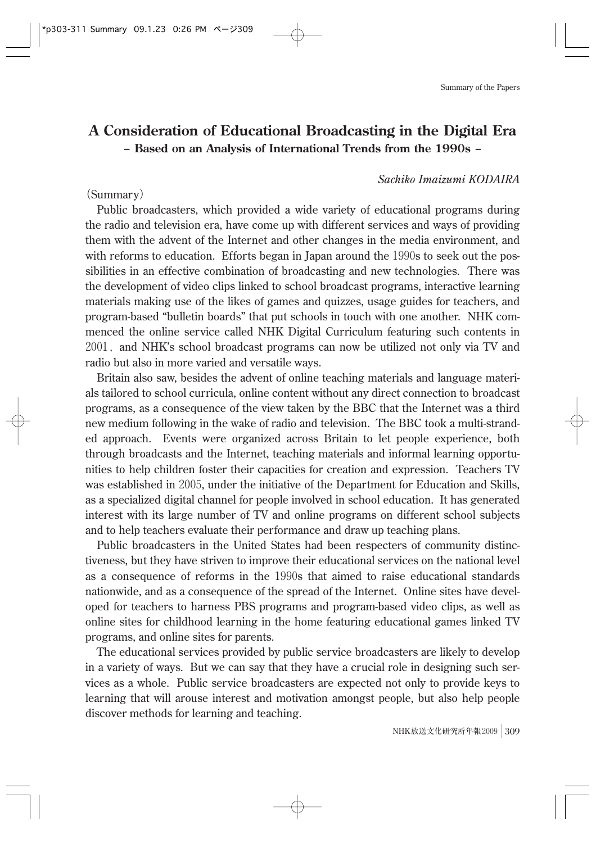#### \*p303-311 Summary 09.1.23 0:26 PM ページ309

## **A Consideration of Educational Broadcasting in the Digital Era - Based on an Analysis of International Trends from the 1990s -**

### *Sachiko Imaizumi KODAIRA*

### **(**Summary**)**

Public broadcasters, which provided a wide variety of educational programs during the radio and television era, have come up with different services and ways of providing them with the advent of the Internet and other changes in the media environment, and with reforms to education. Efforts began in Japan around the 1990s to seek out the possibilities in an effective combination of broadcasting and new technologies. There was the development of video clips linked to school broadcast programs, interactive learning materials making use of the likes of games and quizzes, usage guides for teachers, and program-based "bulletin boards" that put schools in touch with one another. NHK commenced the online service called NHK Digital Curriculum featuring such contents in 2001**,**and NHK's school broadcast programs can now be utilized not only via TV and radio but also in more varied and versatile ways.

Britain also saw, besides the advent of online teaching materials and language materials tailored to school curricula, online content without any direct connection to broadcast programs, as a consequence of the view taken by the BBC that the Internet was a third new medium following in the wake of radio and television. The BBC took a multi-stranded approach. Events were organized across Britain to let people experience, both through broadcasts and the Internet, teaching materials and informal learning opportunities to help children foster their capacities for creation and expression. Teachers TV was established in 2005, under the initiative of the Department for Education and Skills, as a specialized digital channel for people involved in school education. It has generated interest with its large number of TV and online programs on different school subjects and to help teachers evaluate their performance and draw up teaching plans.

Public broadcasters in the United States had been respecters of community distinctiveness, but they have striven to improve their educational services on the national level as a consequence of reforms in the 1990s that aimed to raise educational standards nationwide, and as a consequence of the spread of the Internet. Online sites have developed for teachers to harness PBS programs and program-based video clips, as well as online sites for childhood learning in the home featuring educational games linked TV programs, and online sites for parents.

The educational services provided by public service broadcasters are likely to develop in a variety of ways. But we can say that they have a crucial role in designing such services as a whole. Public service broadcasters are expected not only to provide keys to learning that will arouse interest and motivation amongst people, but also help people discover methods for learning and teaching.

**NHK放送文化研究所年報**2009**│**309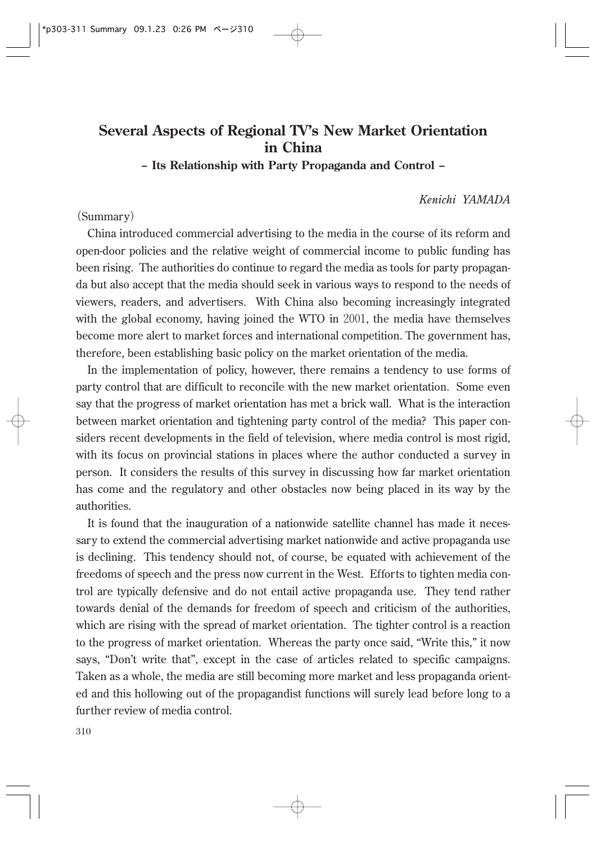## **Several Aspects of Regional TV's New Market Orientation in China**

**- Its Relationship with Party Propaganda and Control -**

### *Kenichi YAMADA*

### **(**Summary**)**

China introduced commercial advertising to the media in the course of its reform and open-door policies and the relative weight of commercial income to public funding has been rising. The authorities do continue to regard the media as tools for party propaganda but also accept that the media should seek in various ways to respond to the needs of viewers, readers, and advertisers. With China also becoming increasingly integrated with the global economy, having joined the WTO in 2001, the media have themselves become more alert to market forces and international competition. The government has, therefore, been establishing basic policy on the market orientation of the media.

In the implementation of policy, however, there remains a tendency to use forms of party control that are difficult to reconcile with the new market orientation. Some even say that the progress of market orientation has met a brick wall. What is the interaction between market orientation and tightening party control of the media? This paper considers recent developments in the field of television, where media control is most rigid, with its focus on provincial stations in places where the author conducted a survey in person. It considers the results of this survey in discussing how far market orientation has come and the regulatory and other obstacles now being placed in its way by the authorities.

It is found that the inauguration of a nationwide satellite channel has made it necessary to extend the commercial advertising market nationwide and active propaganda use is declining. This tendency should not, of course, be equated with achievement of the freedoms of speech and the press now current in the West. Efforts to tighten media control are typically defensive and do not entail active propaganda use. They tend rather towards denial of the demands for freedom of speech and criticism of the authorities, which are rising with the spread of market orientation. The tighter control is a reaction to the progress of market orientation. Whereas the party once said, "Write this," it now says, "Don't write that", except in the case of articles related to specific campaigns. Taken as a whole, the media are still becoming more market and less propaganda oriented and this hollowing out of the propagandist functions will surely lead before long to a further review of media control.

310